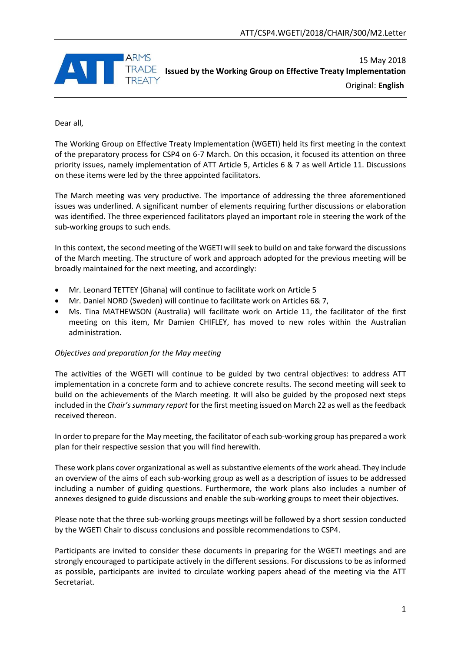

15 May 2018 **Issued by the Working Group on Effective Treaty Implementation** Original: **English**

Dear all,

The Working Group on Effective Treaty Implementation (WGETI) held its first meeting in the context of the preparatory process for CSP4 on 6-7 March. On this occasion, it focused its attention on three priority issues, namely implementation of ATT Article 5, Articles 6 & 7 as well Article 11. Discussions on these items were led by the three appointed facilitators.

The March meeting was very productive. The importance of addressing the three aforementioned issues was underlined. A significant number of elements requiring further discussions or elaboration was identified. The three experienced facilitators played an important role in steering the work of the sub-working groups to such ends.

In this context, the second meeting of the WGETI will seek to build on and take forward the discussions of the March meeting. The structure of work and approach adopted for the previous meeting will be broadly maintained for the next meeting, and accordingly:

- Mr. Leonard TETTEY (Ghana) will continue to facilitate work on Article 5
- Mr. Daniel NORD (Sweden) will continue to facilitate work on Articles 6& 7,
- Ms. Tina MATHEWSON (Australia) will facilitate work on Article 11, the facilitator of the first meeting on this item, Mr Damien CHIFLEY, has moved to new roles within the Australian administration.

## *Objectives and preparation for the May meeting*

The activities of the WGETI will continue to be guided by two central objectives: to address ATT implementation in a concrete form and to achieve concrete results. The second meeting will seek to build on the achievements of the March meeting. It will also be guided by the proposed next steps included in the *Chair's summary report* for the first meeting issued on March 22 as well as the feedback received thereon.

In order to prepare for the May meeting, the facilitator of each sub-working group has prepared a work plan for their respective session that you will find herewith.

These work plans cover organizational as well as substantive elements of the work ahead. They include an overview of the aims of each sub-working group as well as a description of issues to be addressed including a number of guiding questions. Furthermore, the work plans also includes a number of annexes designed to guide discussions and enable the sub-working groups to meet their objectives.

Please note that the three sub-working groups meetings will be followed by a short session conducted by the WGETI Chair to discuss conclusions and possible recommendations to CSP4.

Participants are invited to consider these documents in preparing for the WGETI meetings and are strongly encouraged to participate actively in the different sessions. For discussions to be as informed as possible, participants are invited to circulate working papers ahead of the meeting via the ATT Secretariat.